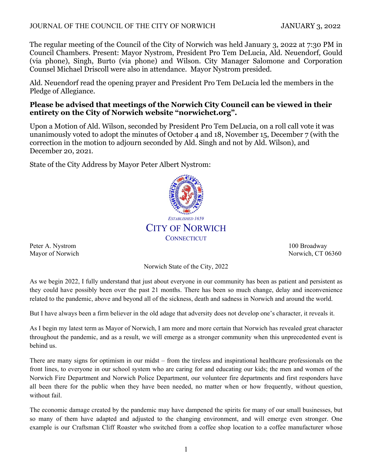### JOURNAL OF THE COUNCIL OF THE CITY OF NORWICH JANUARY 3, 2022

The regular meeting of the Council of the City of Norwich was held January 3, 2022 at 7:30 PM in Council Chambers. Present: Mayor Nystrom, President Pro Tem DeLucia, Ald. Neuendorf, Gould (via phone), Singh, Burto (via phone) and Wilson. City Manager Salomone and Corporation Counsel Michael Driscoll were also in attendance. Mayor Nystrom presided.

Ald. Neuendorf read the opening prayer and President Pro Tem DeLucia led the members in the Pledge of Allegiance.

### **Please be advised that meetings of the Norwich City Council can be viewed in their entirety on the City of Norwich website "norwichct.org".**

Upon a Motion of Ald. Wilson, seconded by President Pro Tem DeLucia, on a roll call vote it was unanimously voted to adopt the minutes of October 4 and 18, November 15, December 7 (with the correction in the motion to adjourn seconded by Ald. Singh and not by Ald. Wilson), and December 20, 2021.

State of the City Address by Mayor Peter Albert Nystrom:



Peter A. Nystrom 100 Broadway 100 Broadway

Mayor of Norwich Norwich, CT 06360

Norwich State of the City, 2022

As we begin 2022, I fully understand that just about everyone in our community has been as patient and persistent as they could have possibly been over the past 21 months. There has been so much change, delay and inconvenience related to the pandemic, above and beyond all of the sickness, death and sadness in Norwich and around the world.

But I have always been a firm believer in the old adage that adversity does not develop one's character, it reveals it.

As I begin my latest term as Mayor of Norwich, I am more and more certain that Norwich has revealed great character throughout the pandemic, and as a result, we will emerge as a stronger community when this unprecedented event is behind us.

There are many signs for optimism in our midst – from the tireless and inspirational healthcare professionals on the front lines, to everyone in our school system who are caring for and educating our kids; the men and women of the Norwich Fire Department and Norwich Police Department, our volunteer fire departments and first responders have all been there for the public when they have been needed, no matter when or how frequently, without question, without fail.

The economic damage created by the pandemic may have dampened the spirits for many of our small businesses, but so many of them have adapted and adjusted to the changing environment, and will emerge even stronger. One example is our Craftsman Cliff Roaster who switched from a coffee shop location to a coffee manufacturer whose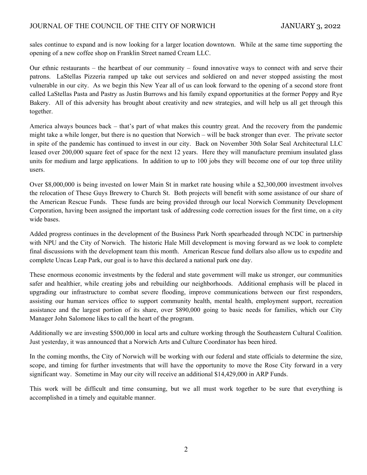sales continue to expand and is now looking for a larger location downtown. While at the same time supporting the opening of a new coffee shop on Franklin Street named Cream LLC.

Our ethnic restaurants – the heartbeat of our community – found innovative ways to connect with and serve their patrons. LaStellas Pizzeria ramped up take out services and soldiered on and never stopped assisting the most vulnerable in our city. As we begin this New Year all of us can look forward to the opening of a second store front called LaStellas Pasta and Pastry as Justin Burrows and his family expand opportunities at the former Poppy and Rye Bakery. All of this adversity has brought about creativity and new strategies, and will help us all get through this together.

America always bounces back – that's part of what makes this country great. And the recovery from the pandemic might take a while longer, but there is no question that Norwich – will be back stronger than ever. The private sector in spite of the pandemic has continued to invest in our city. Back on November 30th Solar Seal Architectural LLC leased over 200,000 square feet of space for the next 12 years. Here they will manufacture premium insulated glass units for medium and large applications. In addition to up to 100 jobs they will become one of our top three utility users.

Over \$8,000,000 is being invested on lower Main St in market rate housing while a \$2,300,000 investment involves the relocation of These Guys Brewery to Church St. Both projects will benefit with some assistance of our share of the American Rescue Funds. These funds are being provided through our local Norwich Community Development Corporation, having been assigned the important task of addressing code correction issues for the first time, on a city wide bases.

Added progress continues in the development of the Business Park North spearheaded through NCDC in partnership with NPU and the City of Norwich. The historic Hale Mill development is moving forward as we look to complete final discussions with the development team this month. American Rescue fund dollars also allow us to expedite and complete Uncas Leap Park, our goal is to have this declared a national park one day.

These enormous economic investments by the federal and state government will make us stronger, our communities safer and healthier, while creating jobs and rebuilding our neighborhoods. Additional emphasis will be placed in upgrading our infrastructure to combat severe flooding, improve communications between our first responders, assisting our human services office to support community health, mental health, employment support, recreation assistance and the largest portion of its share, over \$890,000 going to basic needs for families, which our City Manager John Salomone likes to call the heart of the program.

Additionally we are investing \$500,000 in local arts and culture working through the Southeastern Cultural Coalition. Just yesterday, it was announced that a Norwich Arts and Culture Coordinator has been hired.

In the coming months, the City of Norwich will be working with our federal and state officials to determine the size, scope, and timing for further investments that will have the opportunity to move the Rose City forward in a very significant way. Sometime in May our city will receive an additional \$14,429,000 in ARP Funds.

This work will be difficult and time consuming, but we all must work together to be sure that everything is accomplished in a timely and equitable manner.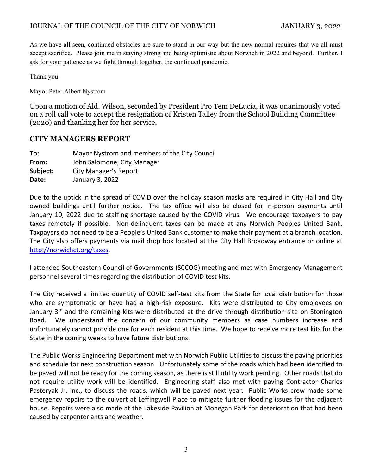As we have all seen, continued obstacles are sure to stand in our way but the new normal requires that we all must accept sacrifice. Please join me in staying strong and being optimistic about Norwich in 2022 and beyond. Further, I ask for your patience as we fight through together, the continued pandemic.

Thank you.

Mayor Peter Albert Nystrom

Upon a motion of Ald. Wilson, seconded by President Pro Tem DeLucia, it was unanimously voted on a roll call vote to accept the resignation of Kristen Talley from the School Building Committee (2020) and thanking her for her service.

# **CITY MANAGERS REPORT**

| To:      | Mayor Nystrom and members of the City Council |
|----------|-----------------------------------------------|
| From:    | John Salomone, City Manager                   |
| Subject: | City Manager's Report                         |
| Date:    | January 3, 2022                               |
|          |                                               |

Due to the uptick in the spread of COVID over the holiday season masks are required in City Hall and City owned buildings until further notice. The tax office will also be closed for in-person payments until January 10, 2022 due to staffing shortage caused by the COVID virus. We encourage taxpayers to pay taxes remotely if possible. Non-delinquent taxes can be made at any Norwich Peoples United Bank. Taxpayers do not need to be a People's United Bank customer to make their payment at a branch location. The City also offers payments via mail drop box located at the City Hall Broadway entrance or online at http://norwichct.org/taxes.

I attended Southeastern Council of Governments (SCCOG) meeting and met with Emergency Management personnel several times regarding the distribution of COVID test kits.

The City received a limited quantity of COVID self-test kits from the State for local distribution for those who are symptomatic or have had a high-risk exposure. Kits were distributed to City employees on January 3<sup>rd</sup> and the remaining kits were distributed at the drive through distribution site on Stonington Road. We understand the concern of our community members as case numbers increase and unfortunately cannot provide one for each resident at this time. We hope to receive more test kits for the State in the coming weeks to have future distributions.

The Public Works Engineering Department met with Norwich Public Utilities to discuss the paving priorities and schedule for next construction season. Unfortunately some of the roads which had been identified to be paved will not be ready for the coming season, as there is still utility work pending. Other roads that do not require utility work will be identified. Engineering staff also met with paving Contractor Charles Pasteryak Jr. Inc., to discuss the roads, which will be paved next year. Public Works crew made some emergency repairs to the culvert at Leffingwell Place to mitigate further flooding issues for the adjacent house. Repairs were also made at the Lakeside Pavilion at Mohegan Park for deterioration that had been caused by carpenter ants and weather.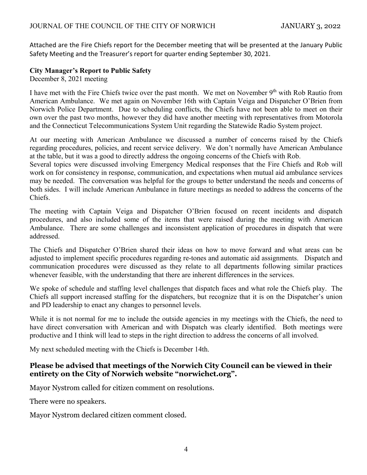Attached are the Fire Chiefs report for the December meeting that will be presented at the January Public Safety Meeting and the Treasurer's report for quarter ending September 30, 2021.

### **City Manager's Report to Public Safety**

December 8, 2021 meeting

I have met with the Fire Chiefs twice over the past month. We met on November 9<sup>th</sup> with Rob Rautio from American Ambulance. We met again on November 16th with Captain Veiga and Dispatcher O'Brien from Norwich Police Department. Due to scheduling conflicts, the Chiefs have not been able to meet on their own over the past two months, however they did have another meeting with representatives from Motorola and the Connecticut Telecommunications System Unit regarding the Statewide Radio System project.

At our meeting with American Ambulance we discussed a number of concerns raised by the Chiefs regarding procedures, policies, and recent service delivery. We don't normally have American Ambulance at the table, but it was a good to directly address the ongoing concerns of the Chiefs with Rob.

Several topics were discussed involving Emergency Medical responses that the Fire Chiefs and Rob will work on for consistency in response, communication, and expectations when mutual aid ambulance services may be needed. The conversation was helpful for the groups to better understand the needs and concerns of both sides. I will include American Ambulance in future meetings as needed to address the concerns of the Chiefs.

The meeting with Captain Veiga and Dispatcher O'Brien focused on recent incidents and dispatch procedures, and also included some of the items that were raised during the meeting with American Ambulance. There are some challenges and inconsistent application of procedures in dispatch that were addressed.

The Chiefs and Dispatcher O'Brien shared their ideas on how to move forward and what areas can be adjusted to implement specific procedures regarding re-tones and automatic aid assignments. Dispatch and communication procedures were discussed as they relate to all departments following similar practices whenever feasible, with the understanding that there are inherent differences in the services.

We spoke of schedule and staffing level challenges that dispatch faces and what role the Chiefs play. The Chiefs all support increased staffing for the dispatchers, but recognize that it is on the Dispatcher's union and PD leadership to enact any changes to personnel levels.

While it is not normal for me to include the outside agencies in my meetings with the Chiefs, the need to have direct conversation with American and with Dispatch was clearly identified. Both meetings were productive and I think will lead to steps in the right direction to address the concerns of all involved.

My next scheduled meeting with the Chiefs is December 14th.

# **Please be advised that meetings of the Norwich City Council can be viewed in their entirety on the City of Norwich website "norwichct.org".**

Mayor Nystrom called for citizen comment on resolutions.

There were no speakers.

Mayor Nystrom declared citizen comment closed.